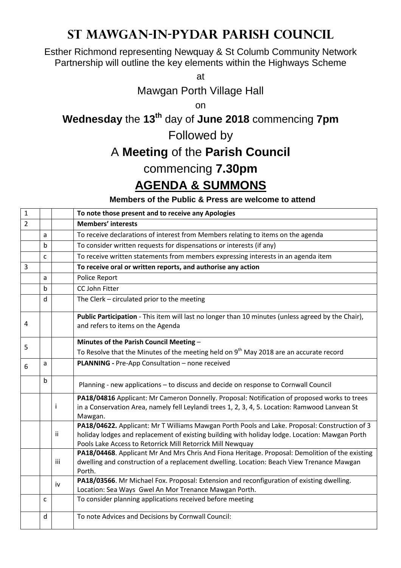## **St Mawgan-in-Pydar Parish Council**

Esther Richmond representing Newquay & St Columb Community Network Partnership will outline the key elements within the Highways Scheme

at

Mawgan Porth Village Hall

on

**Wednesday** the **13th** day of **June 2018** commencing **7pm**

Followed by

## A **Meeting** of the **Parish Council**

## commencing **7.30pm**

## **AGENDA & SUMMONS**

**Members of the Public & Press are welcome to attend**

| $\mathbf{1}$   |   |     | To note those present and to receive any Apologies                                                                                                                                                                                                            |
|----------------|---|-----|---------------------------------------------------------------------------------------------------------------------------------------------------------------------------------------------------------------------------------------------------------------|
| $\overline{2}$ |   |     | <b>Members' interests</b>                                                                                                                                                                                                                                     |
|                | a |     | To receive declarations of interest from Members relating to items on the agenda                                                                                                                                                                              |
|                | b |     | To consider written requests for dispensations or interests (if any)                                                                                                                                                                                          |
|                | C |     | To receive written statements from members expressing interests in an agenda item                                                                                                                                                                             |
| 3              |   |     | To receive oral or written reports, and authorise any action                                                                                                                                                                                                  |
|                | a |     | Police Report                                                                                                                                                                                                                                                 |
|                | b |     | CC John Fitter                                                                                                                                                                                                                                                |
|                | d |     | The Clerk - circulated prior to the meeting                                                                                                                                                                                                                   |
| 4              |   |     | Public Participation - This item will last no longer than 10 minutes (unless agreed by the Chair),<br>and refers to items on the Agenda                                                                                                                       |
|                |   |     | Minutes of the Parish Council Meeting -                                                                                                                                                                                                                       |
| 5              |   |     | To Resolve that the Minutes of the meeting held on 9 <sup>th</sup> May 2018 are an accurate record                                                                                                                                                            |
| 6              | a |     | PLANNING - Pre-App Consultation - none received                                                                                                                                                                                                               |
|                | b |     | Planning - new applications - to discuss and decide on response to Cornwall Council                                                                                                                                                                           |
|                |   | Ť   | PA18/04816 Applicant: Mr Cameron Donnelly. Proposal: Notification of proposed works to trees<br>in a Conservation Area, namely fell Leylandi trees 1, 2, 3, 4, 5. Location: Ramwood Lanvean St<br>Mawgan.                                                     |
|                |   | Ϊİ  | PA18/04622. Applicant: Mr T Williams Mawgan Porth Pools and Lake. Proposal: Construction of 3<br>holiday lodges and replacement of existing building with holiday lodge. Location: Mawgan Porth<br>Pools Lake Access to Retorrick Mill Retorrick Mill Newquay |
|                |   | iii | PA18/04468. Applicant Mr And Mrs Chris And Fiona Heritage. Proposal: Demolition of the existing<br>dwelling and construction of a replacement dwelling. Location: Beach View Trenance Mawgan<br>Porth.                                                        |
|                |   | iv  | PA18/03566. Mr Michael Fox. Proposal: Extension and reconfiguration of existing dwelling.<br>Location: Sea Ways Gwel An Mor Trenance Mawgan Porth.                                                                                                            |
|                | C |     | To consider planning applications received before meeting                                                                                                                                                                                                     |
|                | d |     | To note Advices and Decisions by Cornwall Council:                                                                                                                                                                                                            |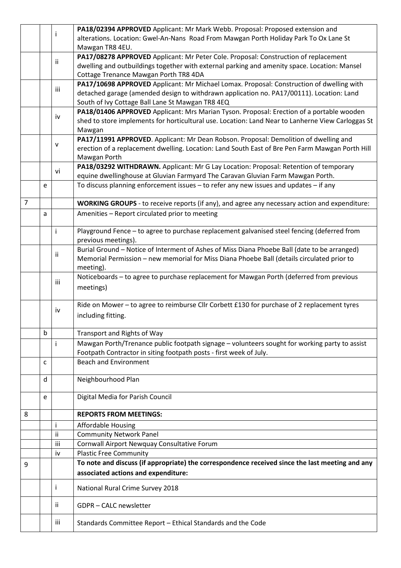|                |   |     | PA18/02394 APPROVED Applicant: Mr Mark Webb. Proposal: Proposed extension and                     |
|----------------|---|-----|---------------------------------------------------------------------------------------------------|
|                |   |     | alterations. Location: Gwel-An-Nans Road From Mawgan Porth Holiday Park To Ox Lane St             |
|                |   |     | Mawgan TR8 4EU.                                                                                   |
|                |   |     | PA17/08278 APPROVED Applicant: Mr Peter Cole. Proposal: Construction of replacement               |
|                |   | ii. | dwelling and outbuildings together with external parking and amenity space. Location: Mansel      |
|                |   |     | Cottage Trenance Mawgan Porth TR8 4DA                                                             |
|                |   |     | PA17/10698 APPROVED Applicant: Mr Michael Lomax. Proposal: Construction of dwelling with          |
|                |   | iii | detached garage (amended design to withdrawn application no. PA17/00111). Location: Land          |
|                |   |     | South of Ivy Cottage Ball Lane St Mawgan TR8 4EQ                                                  |
|                |   |     | PA18/01406 APPROVED Applicant: Mrs Marian Tyson. Proposal: Erection of a portable wooden          |
|                |   | iv  | shed to store implements for horticultural use. Location: Land Near to Lanherne View Carloggas St |
|                |   |     |                                                                                                   |
|                |   |     | Mawgan                                                                                            |
|                |   | v   | PA17/11991 APPROVED. Applicant: Mr Dean Robson. Proposal: Demolition of dwelling and              |
|                |   |     | erection of a replacement dwelling. Location: Land South East of Bre Pen Farm Mawgan Porth Hill   |
|                |   |     | Mawgan Porth                                                                                      |
|                |   | vi  | PA18/03292 WITHDRAWN. Applicant: Mr G Lay Location: Proposal: Retention of temporary              |
|                |   |     | equine dwellinghouse at Gluvian Farmyard The Caravan Gluvian Farm Mawgan Porth.                   |
|                | e |     | To discuss planning enforcement issues - to refer any new issues and updates - if any             |
|                |   |     |                                                                                                   |
| $\overline{7}$ |   |     | WORKING GROUPS - to receive reports (if any), and agree any necessary action and expenditure:     |
|                | a |     | Amenities - Report circulated prior to meeting                                                    |
|                |   |     |                                                                                                   |
|                |   | i.  | Playground Fence - to agree to purchase replacement galvanised steel fencing (deferred from       |
|                |   |     | previous meetings).                                                                               |
|                |   |     | Burial Ground - Notice of Interment of Ashes of Miss Diana Phoebe Ball (date to be arranged)      |
|                |   | Ϊİ  | Memorial Permission - new memorial for Miss Diana Phoebe Ball (details circulated prior to        |
|                |   |     | meeting).                                                                                         |
|                |   |     | Noticeboards - to agree to purchase replacement for Mawgan Porth (deferred from previous          |
|                |   | iii | meetings)                                                                                         |
|                |   |     |                                                                                                   |
|                |   |     | Ride on Mower - to agree to reimburse Cllr Corbett £130 for purchase of 2 replacement tyres       |
|                |   | iv  |                                                                                                   |
|                |   |     | including fitting.                                                                                |
|                | b |     |                                                                                                   |
|                |   |     | <b>Transport and Rights of Way</b>                                                                |
|                |   |     | Mawgan Porth/Trenance public footpath signage - volunteers sought for working party to assist     |
|                |   |     | Footpath Contractor in siting footpath posts - first week of July.                                |
|                | c |     | <b>Beach and Environment</b>                                                                      |
|                |   |     |                                                                                                   |
|                | d |     | Neighbourhood Plan                                                                                |
|                |   |     |                                                                                                   |
|                | e |     | Digital Media for Parish Council                                                                  |
|                |   |     |                                                                                                   |
| 8              |   |     | <b>REPORTS FROM MEETINGS:</b>                                                                     |
|                |   |     | <b>Affordable Housing</b>                                                                         |
|                |   | ii  | <b>Community Network Panel</b>                                                                    |
|                |   | iii | Cornwall Airport Newquay Consultative Forum                                                       |
|                |   | iv  | <b>Plastic Free Community</b>                                                                     |
| 9              |   |     | To note and discuss (if appropriate) the correspondence received since the last meeting and any   |
|                |   |     | associated actions and expenditure:                                                               |
|                |   |     |                                                                                                   |
|                |   | T   | National Rural Crime Survey 2018                                                                  |
|                |   | ij. | GDPR - CALC newsletter                                                                            |
|                |   |     |                                                                                                   |
|                |   | iii | Standards Committee Report - Ethical Standards and the Code                                       |